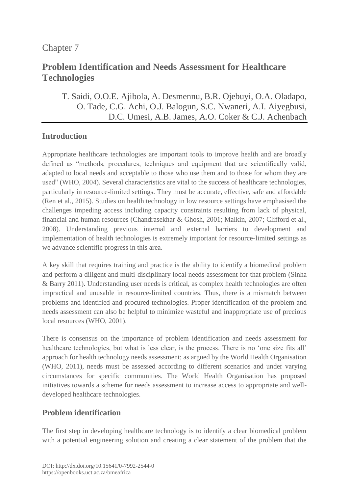# Chapter 7

# **Problem Identification and Needs Assessment for Healthcare Technologies**

# T. [Saidi,](https://orcid.org/0000-0002-9337-4268) O.O.E. [Ajibola,](https://orcid.org/0000-0003-4123-106X) [A. Desmennu,](https://orcid.org/0000-0003-1667-7422) [B.R. Ojebuyi,](https://orcid.org/0000-0002-1383-7630) [O.A. Oladapo,](https://orcid.org/0000-0003-2445-9468 ) O. [Tade,](https://orcid.org/0000-0002-5997-1819) [C.G. Achi,](https://orcid.org/0000-0002-9723-182X) [O.J. Balogun,](https://orcid.org/0000-0002-7329-8448) [S.C. Nwaneri,](https://orcid.org/0000-0002-2800-0163) A.I. [Aiyegbusi,](https://orcid.org/0000-0002-8052-0908) [D.C. Umesi,](https://orcid.org/0000-0003-0127-5850) A.B. [James,](https://orcid.org/0000-0003-3693-1096) A.O. [Coker](https://orcid.org/0000-0002-2065-7179) & C.J. [Achenbach](https://orcid.org/0000-0003-4847-7249)

## **Introduction**

Appropriate healthcare technologies are important tools to improve health and are broadly defined as "methods, procedures, techniques and equipment that are scientifically valid, adapted to local needs and acceptable to those who use them and to those for whom they are used" (WHO, 2004). Several characteristics are vital to the success of healthcare technologies, particularly in resource-limited settings. They must be accurate, effective, safe and affordable (Ren et al., 2015). Studies on health technology in low resource settings have emphasised the challenges impeding access including capacity constraints resulting from lack of physical, financial and human resources (Chandrasekhar & Ghosh, 2001; Malkin, 2007; Clifford et al., 2008). Understanding previous internal and external barriers to development and implementation of health technologies is extremely important for resource-limited settings as we advance scientific progress in this area.

A key skill that requires training and practice is the ability to identify a biomedical problem and perform a diligent and multi-disciplinary local needs assessment for that problem (Sinha & Barry 2011). Understanding user needs is critical, as complex health technologies are often impractical and unusable in resource-limited countries. Thus, there is a mismatch between problems and identified and procured technologies. Proper identification of the problem and needs assessment can also be helpful to minimize wasteful and inappropriate use of precious local resources (WHO, 2001).

There is consensus on the importance of problem identification and needs assessment for healthcare technologies, but what is less clear, is the process. There is no 'one size fits all' approach for health technology needs assessment; as argued by the World Health Organisation (WHO, 2011), needs must be assessed according to different scenarios and under varying circumstances for specific communities. The World Health Organisation has proposed initiatives towards a scheme for needs assessment to increase access to appropriate and welldeveloped healthcare technologies.

# **Problem identification**

The first step in developing healthcare technology is to identify a clear biomedical problem with a potential engineering solution and creating a clear statement of the problem that the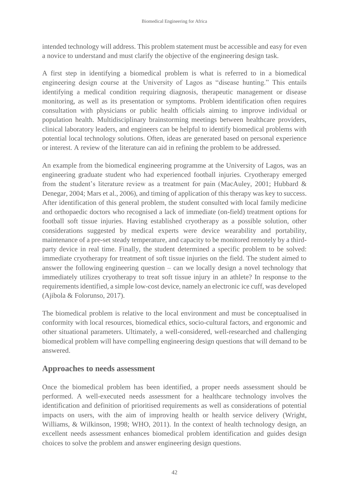intended technology will address. This problem statement must be accessible and easy for even a novice to understand and must clarify the objective of the engineering design task.

A first step in identifying a biomedical problem is what is referred to in a biomedical engineering design course at the University of Lagos as "disease hunting." This entails identifying a medical condition requiring diagnosis, therapeutic management or disease monitoring, as well as its presentation or symptoms. Problem identification often requires consultation with physicians or public health officials aiming to improve individual or population health. Multidisciplinary brainstorming meetings between healthcare providers, clinical laboratory leaders, and engineers can be helpful to identify biomedical problems with potential local technology solutions. Often, ideas are generated based on personal experience or interest. A review of the literature can aid in refining the problem to be addressed.

An example from the biomedical engineering programme at the University of Lagos, was an engineering graduate student who had experienced football injuries. Cryotherapy emerged from the student's literature review as a treatment for pain (MacAuley, 2001; Hubbard & Denegar, 2004; Mars et al., 2006), and timing of application of this therapy was key to success. After identification of this general problem, the student consulted with local family medicine and orthopaedic doctors who recognised a lack of immediate (on-field) treatment options for football soft tissue injuries. Having established cryotherapy as a possible solution, other considerations suggested by medical experts were device wearability and portability, maintenance of a pre-set steady temperature, and capacity to be monitored remotely by a thirdparty device in real time. Finally, the student determined a specific problem to be solved: immediate cryotherapy for treatment of soft tissue injuries on the field. The student aimed to answer the following engineering question – can we locally design a novel technology that immediately utilizes cryotherapy to treat soft tissue injury in an athlete? In response to the requirements identified, a simple low-cost device, namely an electronic ice cuff, was developed (Ajibola & Folorunso, 2017).

The biomedical problem is relative to the local environment and must be conceptualised in conformity with local resources, biomedical ethics, socio-cultural factors, and ergonomic and other situational parameters. Ultimately, a well-considered, well-researched and challenging biomedical problem will have compelling engineering design questions that will demand to be answered.

#### **Approaches to needs assessment**

Once the biomedical problem has been identified, a proper needs assessment should be performed. A well-executed needs assessment for a healthcare technology involves the identification and definition of prioritised requirements as well as considerations of potential impacts on users, with the aim of improving health or health service delivery (Wright, Williams, & Wilkinson, 1998; WHO, 2011). In the context of health technology design, an excellent needs assessment enhances biomedical problem identification and guides design choices to solve the problem and answer engineering design questions.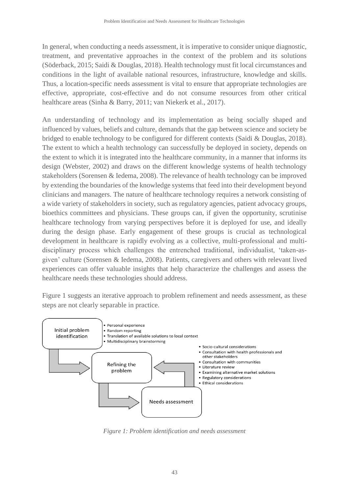In general, when conducting a needs assessment, it is imperative to consider unique diagnostic, treatment, and preventative approaches in the context of the problem and its solutions (Söderback, 2015; Saidi & Douglas, 2018). Health technology must fit local circumstances and conditions in the light of available national resources, infrastructure, knowledge and skills. Thus, a location-specific needs assessment is vital to ensure that appropriate technologies are effective, appropriate, cost-effective and do not consume resources from other critical healthcare areas (Sinha & Barry, 2011; van Niekerk et al., 2017).

An understanding of technology and its implementation as being socially shaped and influenced by values, beliefs and culture, demands that the gap between science and society be bridged to enable technology to be configured for different contexts (Saidi & Douglas, 2018). The extent to which a health technology can successfully be deployed in society, depends on the extent to which it is integrated into the healthcare community, in a manner that informs its design (Webster, 2002) and draws on the different knowledge systems of health technology stakeholders (Sorensen & Iedema, 2008). The relevance of health technology can be improved by extending the boundaries of the knowledge systems that feed into their development beyond clinicians and managers. The nature of healthcare technology requires a network consisting of a wide variety of stakeholders in society, such as regulatory agencies, patient advocacy groups, bioethics committees and physicians. These groups can, if given the opportunity, scrutinise healthcare technology from varying perspectives before it is deployed for use, and ideally during the design phase. Early engagement of these groups is crucial as technological development in healthcare is rapidly evolving as a collective, multi-professional and multidisciplinary process which challenges the entrenched traditional, individualist, 'taken-asgiven' culture (Sorensen & Iedema, 2008). Patients, caregivers and others with relevant lived experiences can offer valuable insights that help characterize the challenges and assess the healthcare needs these technologies should address.

Figure 1 suggests an iterative approach to problem refinement and needs assessment, as these steps are not clearly separable in practice.



*Figure 1: Problem identification and needs assessment*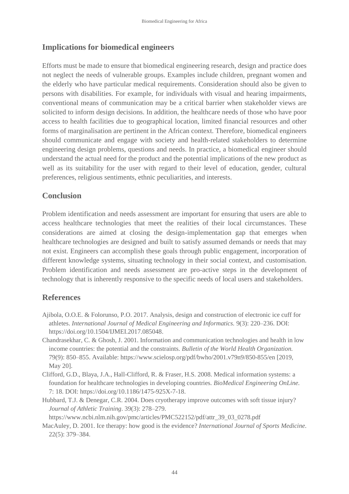### **Implications for biomedical engineers**

Efforts must be made to ensure that biomedical engineering research, design and practice does not neglect the needs of vulnerable groups. Examples include children, pregnant women and the elderly who have particular medical requirements. Consideration should also be given to persons with disabilities. For example, for individuals with visual and hearing impairments, conventional means of communication may be a critical barrier when stakeholder views are solicited to inform design decisions. In addition, the healthcare needs of those who have poor access to health facilities due to geographical location, limited financial resources and other forms of marginalisation are pertinent in the African context. Therefore, biomedical engineers should communicate and engage with society and health-related stakeholders to determine engineering design problems, questions and needs. In practice, a biomedical engineer should understand the actual need for the product and the potential implications of the new product as well as its suitability for the user with regard to their level of education, gender, cultural preferences, religious sentiments, ethnic peculiarities, and interests.

### **Conclusion**

Problem identification and needs assessment are important for ensuring that users are able to access healthcare technologies that meet the realities of their local circumstances. These considerations are aimed at closing the design-implementation gap that emerges when healthcare technologies are designed and built to satisfy assumed demands or needs that may not exist. Engineers can accomplish these goals through public engagement, incorporation of different knowledge systems, situating technology in their social context, and customisation. Problem identification and needs assessment are pro-active steps in the development of technology that is inherently responsive to the specific needs of local users and stakeholders.

### **References**

- Ajibola, O.O.E. & Folorunso, P.O. 2017. Analysis, design and construction of electronic ice cuff for athletes. *International Journal of Medical Engineering and Informatics.* 9(3): 220–236. DOI: https://doi.org/10.1504/IJMEI.2017.085048.
- Chandrasekhar, C. & Ghosh, J. 2001. Information and communication technologies and health in low income countries: the potential and the constraints. *Bulletin of the World Health Organization.* 79(9): 850–855. Available: https://www.scielosp.org/pdf/bwho/2001.v79n9/850-855/en [2019, May 20].
- Clifford, G.D., Blaya, J.A., Hall-Clifford, R. & Fraser, H.S. 2008. Medical information systems: a foundation for healthcare technologies in developing countries. *BioMedical Engineering OnLine.* 7: 18. DOI: https://doi.org/10.1186/1475-925X-7-18.
- Hubbard, T.J. & Denegar, C.R. 2004. Does cryotherapy improve outcomes with soft tissue injury? *Journal of Athletic Training*. 39(3): 278–279.

[https://www.ncbi.nlm.nih.gov/pmc/articles/PMC522152/pdf/attr\\_39\\_03\\_0278.pdf](https://www.ncbi.nlm.nih.gov/pmc/articles/PMC522152/pdf/attr_39_03_0278.pdf)

MacAuley, D. 2001. Ice therapy: how good is the evidence? *International Journal of Sports Medicine*. 22(5): 379–384.